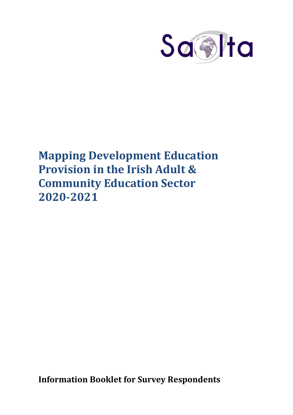

# **Mapping Development Education Provision in the Irish Adult & Community Education Sector 2020-2021**

**Information Booklet for Survey Respondents**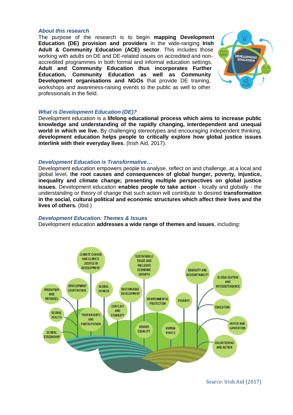#### *About this research*

The purpose of the research is to begin **mapping Development Education (DE) provision and providers** in the wide-ranging **Irish Adult & Community Education (ACE) sector**. This includes those working with adults on DE and DE-related issues on accredited and nonaccredited programmes in both formal and informal education settings. **Adult and Community Education thus incorporates Further Education, Community Education as well as Community Development organisations and NGOs** that provide DE training, workshops and awareness-raising events to the public as well to other professionals in the field.



## *What is Development Education (DE)?*

Development education is a **lifelong educational process which aims to increase public knowledge and understanding of the rapidly changing, interdependent and unequal world in which we live.** By challenging stereotypes and encouraging independent thinking, **development education helps people to critically explore how global justice issues interlink with their everyday lives**. (Irish Aid, 2017).

## *Development Education is Transformative…*

Development education empowers people to analyse, reflect on and challenge, at a local and global level, t**he root causes and consequences of global hunger, poverty, injustice, inequality and climate change; presenting multiple perspectives on global justice issues.** Development education **enables people to take action** - locally and globally - the understanding or theory of change that such action will contribute to desired **transformation in the social, cultural political and economic structures which affect their lives and the lives of others.** (Ibid.)

## *Development Education: Themes & Issues*

Development education **addresses a wide range of themes and issues**, including:



Source: Irish Aid (2017)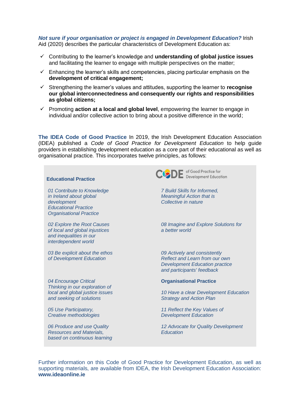#### *Not sure if your organisation or project is engaged in Development Education?* Irish Aid (2020) describes the particular characteristics of Development Education as:

- Contributing to the learner's knowledge and **understanding of global justice issues** and facilitating the learner to engage with multiple perspectives on the matter;
- $\checkmark$  Enhancing the learner's skills and competencies, placing particular emphasis on the **development of critical engagement;**
- Strengthening the learner's values and attitudes, supporting the learner to **recognise our global interconnectedness and consequently our rights and responsibilities as global citizens;**
- $\checkmark$  Promoting **action at a local and global level**, empowering the learner to engage in individual and/or collective action to bring about a positive difference in the world;

**The IDEA Code of Good Practice** In 2019, the Irish Development Education Association (IDEA) published a *Code of Good Practice for Development Education* to help guide providers in establishing development education as a core part of their educational as well as organisational practice*.* This incorporates twelve principles, as follows:



Further information on this Code of Good Practice for Development Education, as well as supporting materials, are available from IDEA, the Irish Development Education Association: **www.ideaonline.ie**